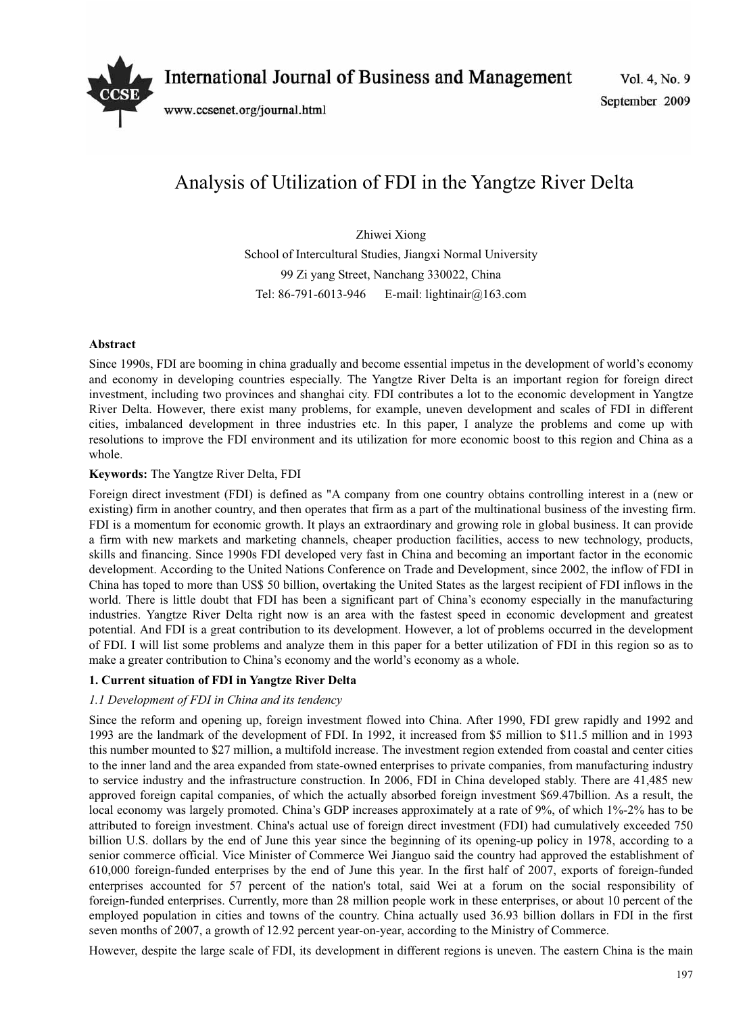

*International Journal of Business and Management* September, 2009



Vol. 4, No. 9 September 2009

# Analysis of Utilization of FDI in the Yangtze River Delta

Zhiwei Xiong School of Intercultural Studies, Jiangxi Normal University 99 Zi yang Street, Nanchang 330022, China Tel: 86-791-6013-946 E-mail: lightinair@163.com

## **Abstract**

Since 1990s, FDI are booming in china gradually and become essential impetus in the development of world's economy and economy in developing countries especially. The Yangtze River Delta is an important region for foreign direct investment, including two provinces and shanghai city. FDI contributes a lot to the economic development in Yangtze River Delta. However, there exist many problems, for example, uneven development and scales of FDI in different cities, imbalanced development in three industries etc. In this paper, I analyze the problems and come up with resolutions to improve the FDI environment and its utilization for more economic boost to this region and China as a whole.

# **Keywords:** The Yangtze River Delta, FDI

Foreign direct investment (FDI) is defined as "A company from one country obtains controlling interest in a (new or existing) firm in another country, and then operates that firm as a part of the multinational business of the investing firm. FDI is a momentum for economic growth. It plays an extraordinary and growing role in global business. It can provide a firm with new markets and marketing channels, cheaper production facilities, access to new technology, products, skills and financing. Since 1990s FDI developed very fast in China and becoming an important factor in the economic development. According to the United Nations Conference on Trade and Development, since 2002, the inflow of FDI in China has toped to more than US\$ 50 billion, overtaking the United States as the largest recipient of FDI inflows in the world. There is little doubt that FDI has been a significant part of China's economy especially in the manufacturing industries. Yangtze River Delta right now is an area with the fastest speed in economic development and greatest potential. And FDI is a great contribution to its development. However, a lot of problems occurred in the development of FDI. I will list some problems and analyze them in this paper for a better utilization of FDI in this region so as to make a greater contribution to China's economy and the world's economy as a whole.

# **1. Current situation of FDI in Yangtze River Delta**

## *1.1 Development of FDI in China and its tendency*

Since the reform and opening up, foreign investment flowed into China. After 1990, FDI grew rapidly and 1992 and 1993 are the landmark of the development of FDI. In 1992, it increased from \$5 million to \$11.5 million and in 1993 this number mounted to \$27 million, a multifold increase. The investment region extended from coastal and center cities to the inner land and the area expanded from state-owned enterprises to private companies, from manufacturing industry to service industry and the infrastructure construction. In 2006, FDI in China developed stably. There are 41,485 new approved foreign capital companies, of which the actually absorbed foreign investment \$69.47billion. As a result, the local economy was largely promoted. China's GDP increases approximately at a rate of 9%, of which 1%-2% has to be attributed to foreign investment. China's actual use of foreign direct investment (FDI) had cumulatively exceeded 750 billion U.S. dollars by the end of June this year since the beginning of its opening-up policy in 1978, according to a senior commerce official. Vice Minister of Commerce Wei Jianguo said the country had approved the establishment of 610,000 foreign-funded enterprises by the end of June this year. In the first half of 2007, exports of foreign-funded enterprises accounted for 57 percent of the nation's total, said Wei at a forum on the social responsibility of foreign-funded enterprises. Currently, more than 28 million people work in these enterprises, or about 10 percent of the employed population in cities and towns of the country. China actually used 36.93 billion dollars in FDI in the first seven months of 2007, a growth of 12.92 percent year-on-year, according to the Ministry of Commerce.

However, despite the large scale of FDI, its development in different regions is uneven. The eastern China is the main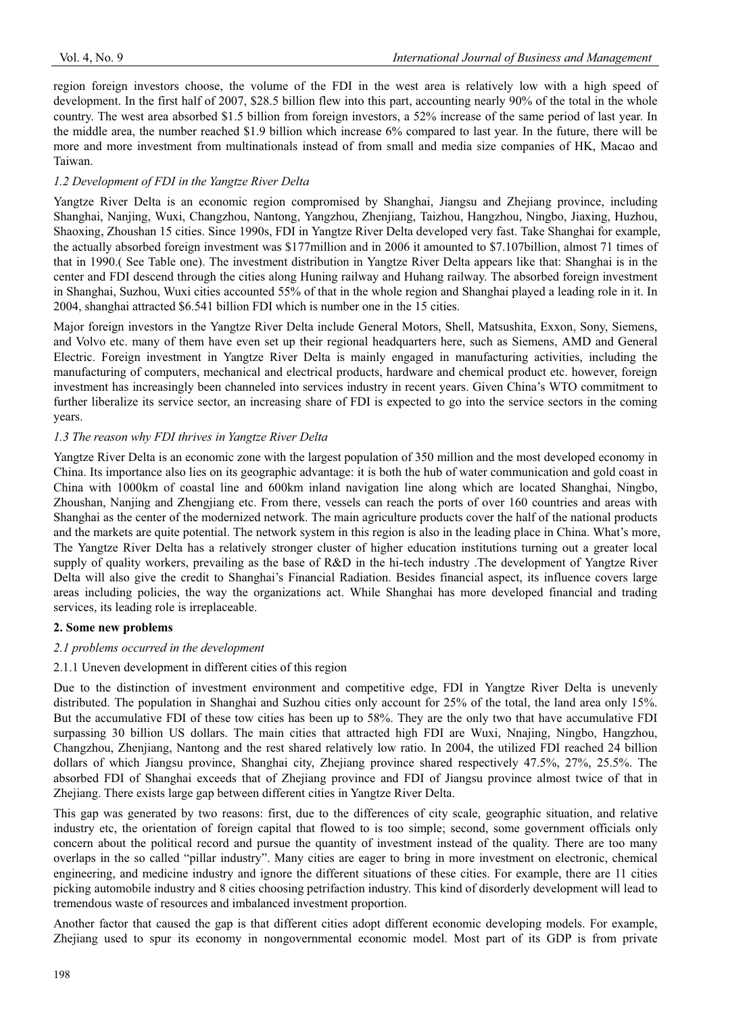region foreign investors choose, the volume of the FDI in the west area is relatively low with a high speed of development. In the first half of 2007, \$28.5 billion flew into this part, accounting nearly 90% of the total in the whole country. The west area absorbed \$1.5 billion from foreign investors, a 52% increase of the same period of last year. In the middle area, the number reached \$1.9 billion which increase 6% compared to last year. In the future, there will be more and more investment from multinationals instead of from small and media size companies of HK, Macao and Taiwan.

## *1.2 Development of FDI in the Yangtze River Delta*

Yangtze River Delta is an economic region compromised by Shanghai, Jiangsu and Zhejiang province, including Shanghai, Nanjing, Wuxi, Changzhou, Nantong, Yangzhou, Zhenjiang, Taizhou, Hangzhou, Ningbo, Jiaxing, Huzhou, Shaoxing, Zhoushan 15 cities. Since 1990s, FDI in Yangtze River Delta developed very fast. Take Shanghai for example, the actually absorbed foreign investment was \$177million and in 2006 it amounted to \$7.107billion, almost 71 times of that in 1990.( See Table one). The investment distribution in Yangtze River Delta appears like that: Shanghai is in the center and FDI descend through the cities along Huning railway and Huhang railway. The absorbed foreign investment in Shanghai, Suzhou, Wuxi cities accounted 55% of that in the whole region and Shanghai played a leading role in it. In 2004, shanghai attracted \$6.541 billion FDI which is number one in the 15 cities.

Major foreign investors in the Yangtze River Delta include General Motors, Shell, Matsushita, Exxon, Sony, Siemens, and Volvo etc. many of them have even set up their regional headquarters here, such as Siemens, AMD and General Electric. Foreign investment in Yangtze River Delta is mainly engaged in manufacturing activities, including the manufacturing of computers, mechanical and electrical products, hardware and chemical product etc. however, foreign investment has increasingly been channeled into services industry in recent years. Given China's WTO commitment to further liberalize its service sector, an increasing share of FDI is expected to go into the service sectors in the coming years.

#### *1.3 The reason why FDI thrives in Yangtze River Delta*

Yangtze River Delta is an economic zone with the largest population of 350 million and the most developed economy in China. Its importance also lies on its geographic advantage: it is both the hub of water communication and gold coast in China with 1000km of coastal line and 600km inland navigation line along which are located Shanghai, Ningbo, Zhoushan, Nanjing and Zhengjiang etc. From there, vessels can reach the ports of over 160 countries and areas with Shanghai as the center of the modernized network. The main agriculture products cover the half of the national products and the markets are quite potential. The network system in this region is also in the leading place in China. What's more, The Yangtze River Delta has a relatively stronger cluster of higher education institutions turning out a greater local supply of quality workers, prevailing as the base of R&D in the hi-tech industry .The development of Yangtze River Delta will also give the credit to Shanghai's Financial Radiation. Besides financial aspect, its influence covers large areas including policies, the way the organizations act. While Shanghai has more developed financial and trading services, its leading role is irreplaceable.

#### **2. Some new problems**

## *2.1 problems occurred in the development*

#### 2.1.1 Uneven development in different cities of this region

Due to the distinction of investment environment and competitive edge, FDI in Yangtze River Delta is unevenly distributed. The population in Shanghai and Suzhou cities only account for 25% of the total, the land area only 15%. But the accumulative FDI of these tow cities has been up to 58%. They are the only two that have accumulative FDI surpassing 30 billion US dollars. The main cities that attracted high FDI are Wuxi, Nnajing, Ningbo, Hangzhou, Changzhou, Zhenjiang, Nantong and the rest shared relatively low ratio. In 2004, the utilized FDI reached 24 billion dollars of which Jiangsu province, Shanghai city, Zhejiang province shared respectively 47.5%, 27%, 25.5%. The absorbed FDI of Shanghai exceeds that of Zhejiang province and FDI of Jiangsu province almost twice of that in Zhejiang. There exists large gap between different cities in Yangtze River Delta.

This gap was generated by two reasons: first, due to the differences of city scale, geographic situation, and relative industry etc, the orientation of foreign capital that flowed to is too simple; second, some government officials only concern about the political record and pursue the quantity of investment instead of the quality. There are too many overlaps in the so called "pillar industry". Many cities are eager to bring in more investment on electronic, chemical engineering, and medicine industry and ignore the different situations of these cities. For example, there are 11 cities picking automobile industry and 8 cities choosing petrifaction industry. This kind of disorderly development will lead to tremendous waste of resources and imbalanced investment proportion.

Another factor that caused the gap is that different cities adopt different economic developing models. For example, Zhejiang used to spur its economy in nongovernmental economic model. Most part of its GDP is from private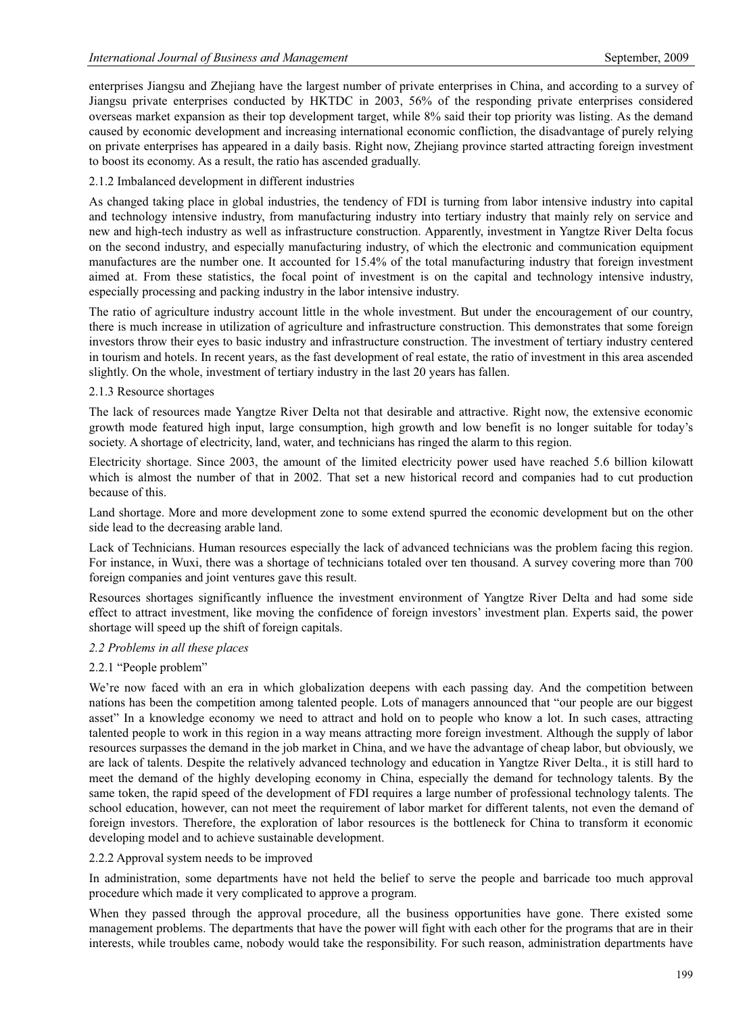enterprises Jiangsu and Zhejiang have the largest number of private enterprises in China, and according to a survey of Jiangsu private enterprises conducted by HKTDC in 2003, 56% of the responding private enterprises considered overseas market expansion as their top development target, while 8% said their top priority was listing. As the demand caused by economic development and increasing international economic confliction, the disadvantage of purely relying on private enterprises has appeared in a daily basis. Right now, Zhejiang province started attracting foreign investment to boost its economy. As a result, the ratio has ascended gradually.

## 2.1.2 Imbalanced development in different industries

As changed taking place in global industries, the tendency of FDI is turning from labor intensive industry into capital and technology intensive industry, from manufacturing industry into tertiary industry that mainly rely on service and new and high-tech industry as well as infrastructure construction. Apparently, investment in Yangtze River Delta focus on the second industry, and especially manufacturing industry, of which the electronic and communication equipment manufactures are the number one. It accounted for 15.4% of the total manufacturing industry that foreign investment aimed at. From these statistics, the focal point of investment is on the capital and technology intensive industry, especially processing and packing industry in the labor intensive industry.

The ratio of agriculture industry account little in the whole investment. But under the encouragement of our country, there is much increase in utilization of agriculture and infrastructure construction. This demonstrates that some foreign investors throw their eyes to basic industry and infrastructure construction. The investment of tertiary industry centered in tourism and hotels. In recent years, as the fast development of real estate, the ratio of investment in this area ascended slightly. On the whole, investment of tertiary industry in the last 20 years has fallen.

#### 2.1.3 Resource shortages

The lack of resources made Yangtze River Delta not that desirable and attractive. Right now, the extensive economic growth mode featured high input, large consumption, high growth and low benefit is no longer suitable for today's society. A shortage of electricity, land, water, and technicians has ringed the alarm to this region.

Electricity shortage. Since 2003, the amount of the limited electricity power used have reached 5.6 billion kilowatt which is almost the number of that in 2002. That set a new historical record and companies had to cut production because of this.

Land shortage. More and more development zone to some extend spurred the economic development but on the other side lead to the decreasing arable land.

Lack of Technicians. Human resources especially the lack of advanced technicians was the problem facing this region. For instance, in Wuxi, there was a shortage of technicians totaled over ten thousand. A survey covering more than 700 foreign companies and joint ventures gave this result.

Resources shortages significantly influence the investment environment of Yangtze River Delta and had some side effect to attract investment, like moving the confidence of foreign investors' investment plan. Experts said, the power shortage will speed up the shift of foreign capitals.

#### *2.2 Problems in all these places*

#### 2.2.1 "People problem"

We're now faced with an era in which globalization deepens with each passing day. And the competition between nations has been the competition among talented people. Lots of managers announced that "our people are our biggest asset" In a knowledge economy we need to attract and hold on to people who know a lot. In such cases, attracting talented people to work in this region in a way means attracting more foreign investment. Although the supply of labor resources surpasses the demand in the job market in China, and we have the advantage of cheap labor, but obviously, we are lack of talents. Despite the relatively advanced technology and education in Yangtze River Delta., it is still hard to meet the demand of the highly developing economy in China, especially the demand for technology talents. By the same token, the rapid speed of the development of FDI requires a large number of professional technology talents. The school education, however, can not meet the requirement of labor market for different talents, not even the demand of foreign investors. Therefore, the exploration of labor resources is the bottleneck for China to transform it economic developing model and to achieve sustainable development.

#### 2.2.2 Approval system needs to be improved

In administration, some departments have not held the belief to serve the people and barricade too much approval procedure which made it very complicated to approve a program.

When they passed through the approval procedure, all the business opportunities have gone. There existed some management problems. The departments that have the power will fight with each other for the programs that are in their interests, while troubles came, nobody would take the responsibility. For such reason, administration departments have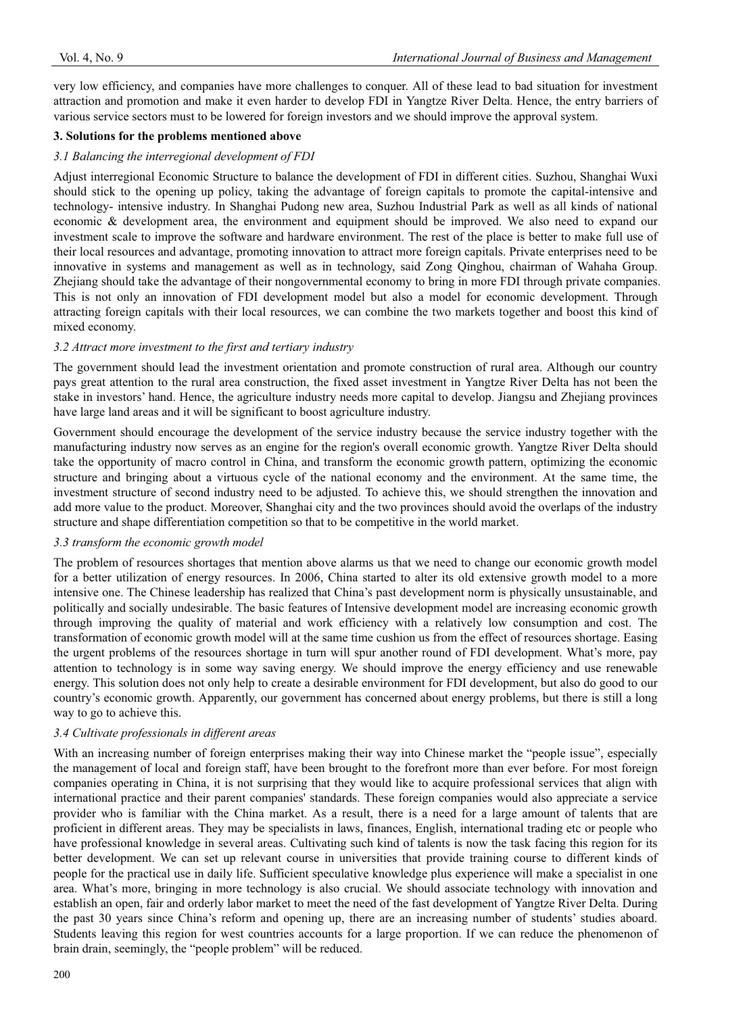very low efficiency, and companies have more challenges to conquer. All of these lead to bad situation for investment attraction and promotion and make it even harder to develop FDI in Yangtze River Delta. Hence, the entry barriers of various service sectors must to be lowered for foreign investors and we should improve the approval system.

#### **3. Solutions for the problems mentioned above**

## *3.1 Balancing the interregional development of FDI*

Adjust interregional Economic Structure to balance the development of FDI in different cities. Suzhou, Shanghai Wuxi should stick to the opening up policy, taking the advantage of foreign capitals to promote the capital-intensive and technology- intensive industry. In Shanghai Pudong new area, Suzhou Industrial Park as well as all kinds of national economic & development area, the environment and equipment should be improved. We also need to expand our investment scale to improve the software and hardware environment. The rest of the place is better to make full use of their local resources and advantage, promoting innovation to attract more foreign capitals. Private enterprises need to be innovative in systems and management as well as in technology, said Zong Qinghou, chairman of Wahaha Group. Zhejiang should take the advantage of their nongovernmental economy to bring in more FDI through private companies. This is not only an innovation of FDI development model but also a model for economic development. Through attracting foreign capitals with their local resources, we can combine the two markets together and boost this kind of mixed economy.

#### *3.2 Attract more investment to the first and tertiary industry*

The government should lead the investment orientation and promote construction of rural area. Although our country pays great attention to the rural area construction, the fixed asset investment in Yangtze River Delta has not been the stake in investors' hand. Hence, the agriculture industry needs more capital to develop. Jiangsu and Zhejiang provinces have large land areas and it will be significant to boost agriculture industry.

Government should encourage the development of the service industry because the service industry together with the manufacturing industry now serves as an engine for the region's overall economic growth. Yangtze River Delta should take the opportunity of macro control in China, and transform the economic growth pattern, optimizing the economic structure and bringing about a virtuous cycle of the national economy and the environment. At the same time, the investment structure of second industry need to be adjusted. To achieve this, we should strengthen the innovation and add more value to the product. Moreover, Shanghai city and the two provinces should avoid the overlaps of the industry structure and shape differentiation competition so that to be competitive in the world market.

#### *3.3 transform the economic growth model*

The problem of resources shortages that mention above alarms us that we need to change our economic growth model for a better utilization of energy resources. In 2006, China started to alter its old extensive growth model to a more intensive one. The Chinese leadership has realized that China's past development norm is physically unsustainable, and politically and socially undesirable. The basic features of Intensive development model are increasing economic growth through improving the quality of material and work efficiency with a relatively low consumption and cost. The transformation of economic growth model will at the same time cushion us from the effect of resources shortage. Easing the urgent problems of the resources shortage in turn will spur another round of FDI development. What's more, pay attention to technology is in some way saving energy. We should improve the energy efficiency and use renewable energy. This solution does not only help to create a desirable environment for FDI development, but also do good to our country's economic growth. Apparently, our government has concerned about energy problems, but there is still a long way to go to achieve this.

#### *3.4 Cultivate professionals in different areas*

With an increasing number of foreign enterprises making their way into Chinese market the "people issue", especially the management of local and foreign staff, have been brought to the forefront more than ever before. For most foreign companies operating in China, it is not surprising that they would like to acquire professional services that align with international practice and their parent companies' standards. These foreign companies would also appreciate a service provider who is familiar with the China market. As a result, there is a need for a large amount of talents that are proficient in different areas. They may be specialists in laws, finances, English, international trading etc or people who have professional knowledge in several areas. Cultivating such kind of talents is now the task facing this region for its better development. We can set up relevant course in universities that provide training course to different kinds of people for the practical use in daily life. Sufficient speculative knowledge plus experience will make a specialist in one area. What's more, bringing in more technology is also crucial. We should associate technology with innovation and establish an open, fair and orderly labor market to meet the need of the fast development of Yangtze River Delta. During the past 30 years since China's reform and opening up, there are an increasing number of students' studies aboard. Students leaving this region for west countries accounts for a large proportion. If we can reduce the phenomenon of brain drain, seemingly, the "people problem" will be reduced.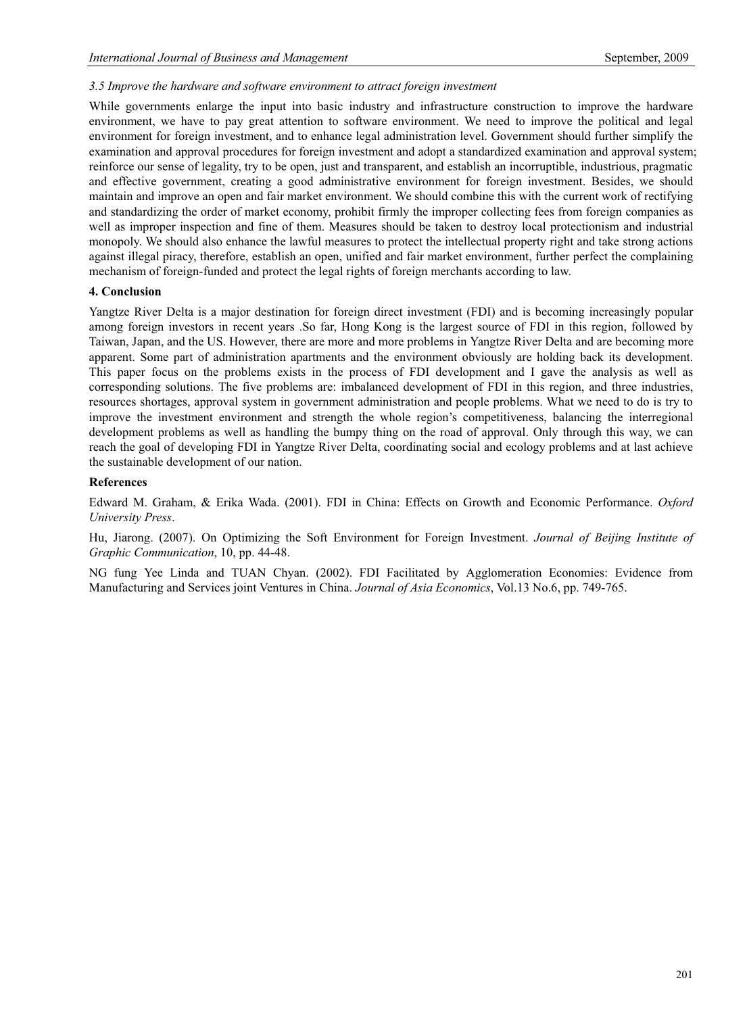## *3.5 Improve the hardware and software environment to attract foreign investment*

While governments enlarge the input into basic industry and infrastructure construction to improve the hardware environment, we have to pay great attention to software environment. We need to improve the political and legal environment for foreign investment, and to enhance legal administration level. Government should further simplify the examination and approval procedures for foreign investment and adopt a standardized examination and approval system; reinforce our sense of legality, try to be open, just and transparent, and establish an incorruptible, industrious, pragmatic and effective government, creating a good administrative environment for foreign investment. Besides, we should maintain and improve an open and fair market environment. We should combine this with the current work of rectifying and standardizing the order of market economy, prohibit firmly the improper collecting fees from foreign companies as well as improper inspection and fine of them. Measures should be taken to destroy local protectionism and industrial monopoly. We should also enhance the lawful measures to protect the intellectual property right and take strong actions against illegal piracy, therefore, establish an open, unified and fair market environment, further perfect the complaining mechanism of foreign-funded and protect the legal rights of foreign merchants according to law.

#### **4. Conclusion**

Yangtze River Delta is a major destination for foreign direct investment (FDI) and is becoming increasingly popular among foreign investors in recent years .So far, Hong Kong is the largest source of FDI in this region, followed by Taiwan, Japan, and the US. However, there are more and more problems in Yangtze River Delta and are becoming more apparent. Some part of administration apartments and the environment obviously are holding back its development. This paper focus on the problems exists in the process of FDI development and I gave the analysis as well as corresponding solutions. The five problems are: imbalanced development of FDI in this region, and three industries, resources shortages, approval system in government administration and people problems. What we need to do is try to improve the investment environment and strength the whole region's competitiveness, balancing the interregional development problems as well as handling the bumpy thing on the road of approval. Only through this way, we can reach the goal of developing FDI in Yangtze River Delta, coordinating social and ecology problems and at last achieve the sustainable development of our nation.

#### **References**

Edward M. Graham, & Erika Wada. (2001). FDI in China: Effects on Growth and Economic Performance. *Oxford University Press*.

Hu, Jiarong. (2007). On Optimizing the Soft Environment for Foreign Investment. *Journal of Beijing Institute of Graphic Communication*, 10, pp. 44-48.

NG fung Yee Linda and TUAN Chyan. (2002). FDI Facilitated by Agglomeration Economies: Evidence from Manufacturing and Services joint Ventures in China. *Journal of Asia Economics*, Vol.13 No.6, pp. 749-765.